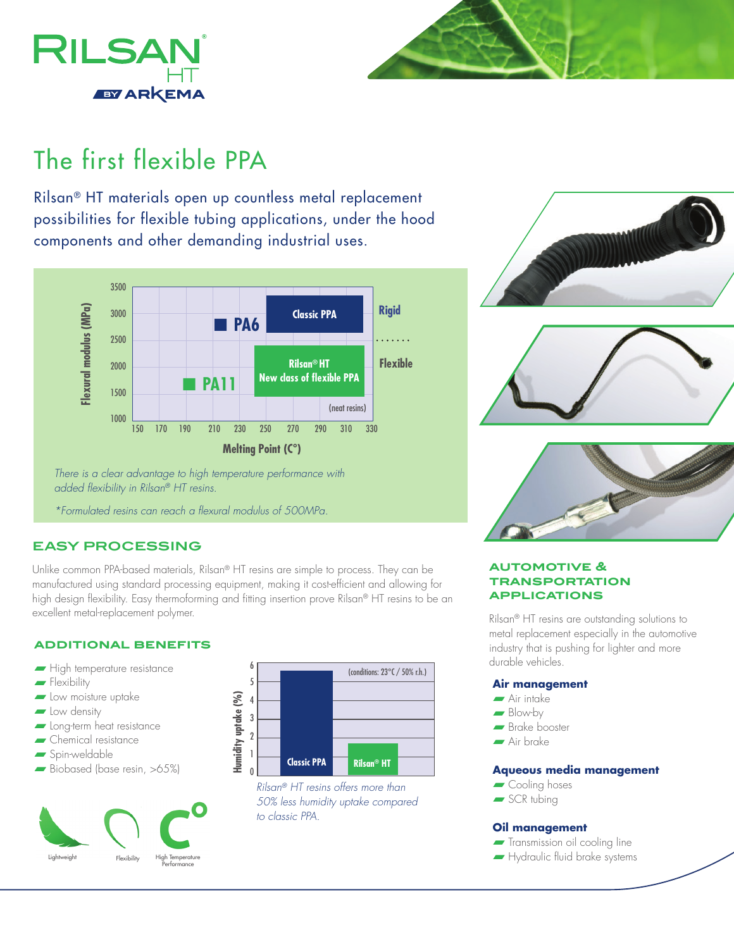



# The first flexible PPA

Rilsan® HT materials open up countless metal replacement possibilities for flexible tubing applications, under the hood components and other demanding industrial uses.



*There is a clear advantage to high temperature performance with added flexibility in Rilsan® HT resins.*

*\*Formulated resins can reach a flexural modulus of 500MPa.*

# **EASY PROCESSING**

Unlike common PPA-based materials, Rilsan® HT resins are simple to process. They can be manufactured using standard processing equipment, making it cost-efficient and allowing for high design flexibility. Easy thermoforming and fitting insertion prove Rilsan® HT resins to be an excellent metal-replacement polymer.

## **additional benefits**

- $\blacksquare$  High temperature resistance
- $\blacksquare$  Flexibility
- **n** Low moisture uptake
- $\blacksquare$  Low density
- **n** Long-term heat resistance
- $\blacktriangleright$  Chemical resistance
- $s$ Spin-weldable
- Biobased (base resin, >65%)





*Rilsan® HT resins offers more than 50% less humidity uptake compared to classic PPA.*



## **automotive & transportation applications**

Rilsan® HT resins are outstanding solutions to metal replacement especially in the automotive industry that is pushing for lighter and more durable vehicles.

#### **Air management**

- **n** Air intake
- $\blacksquare$  Blow-by
- **n** Brake booster
- Air brake

## **Aqueous media management**

- Cooling hoses
- $\blacktriangleright$  SCR tubing

#### **Oil management**

- **Transmission oil cooling line**
- **Hydraulic fluid brake systems**